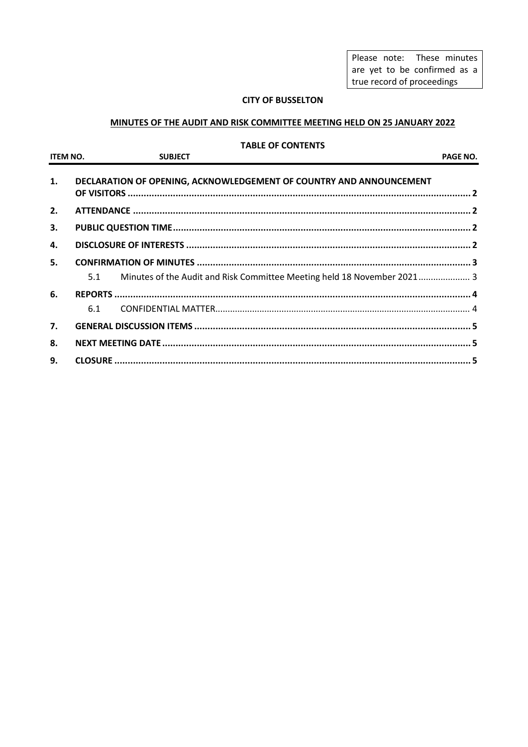Please note: These minutes are yet to be confirmed as a true record of proceedings

### **CITY OF BUSSELTON**

### MINUTES OF THE AUDIT AND RISK COMMITTEE MEETING HELD ON 25 JANUARY 2022

#### **TABLE OF CONTENTS**

ITEM NO.

**SUBJECT** 

PAGE NO.

| 1.               | DECLARATION OF OPENING, ACKNOWLEDGEMENT OF COUNTRY AND ANNOUNCEMENT |                                                                             |  |
|------------------|---------------------------------------------------------------------|-----------------------------------------------------------------------------|--|
| 2.               |                                                                     |                                                                             |  |
| 3.               |                                                                     |                                                                             |  |
| 4.               |                                                                     |                                                                             |  |
| 5.               |                                                                     |                                                                             |  |
|                  |                                                                     | 5.1 Minutes of the Audit and Risk Committee Meeting held 18 November 2021 3 |  |
| 6.               |                                                                     |                                                                             |  |
|                  | 6.1                                                                 |                                                                             |  |
| $\overline{7}$ . |                                                                     |                                                                             |  |
| 8.               |                                                                     |                                                                             |  |
| 9.               |                                                                     |                                                                             |  |
|                  |                                                                     |                                                                             |  |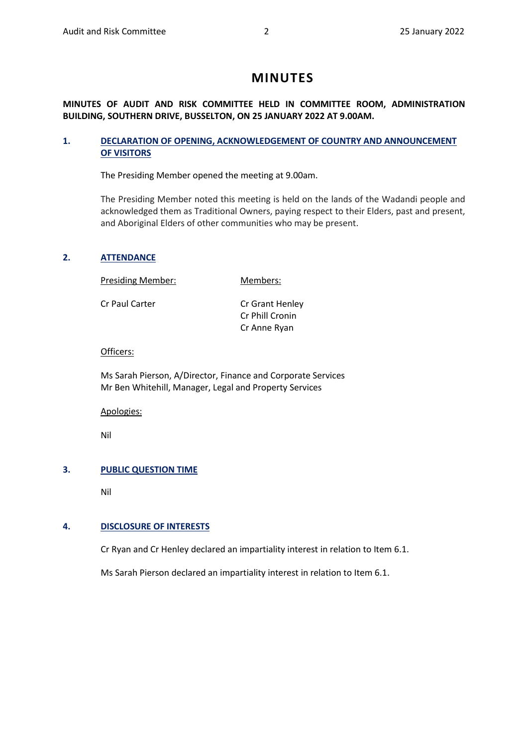# **MINUTES**

### **MINUTES OF AUDIT AND RISK COMMITTEE HELD IN COMMITTEE ROOM, ADMINISTRATION BUILDING, SOUTHERN DRIVE, BUSSELTON, ON 25 JANUARY 2022 AT 9.00AM.**

### <span id="page-1-0"></span>**1. DECLARATION OF OPENING, ACKNOWLEDGEMENT OF COUNTRY AND ANNOUNCEMENT OF VISITORS**

The Presiding Member opened the meeting at 9.00am.

The Presiding Member noted this meeting is held on the lands of the Wadandi people and acknowledged them as Traditional Owners, paying respect to their Elders, past and present, and Aboriginal Elders of other communities who may be present.

### <span id="page-1-1"></span>**2. ATTENDANCE**

Presiding Member: Members:

Cr Paul Carter Cr Grant Henley

Cr Phill Cronin Cr Anne Ryan

#### Officers:

Ms Sarah Pierson, A/Director, Finance and Corporate Services Mr Ben Whitehill, Manager, Legal and Property Services

Apologies:

Nil

### <span id="page-1-2"></span>**3. PUBLIC QUESTION TIME**

Nil

### <span id="page-1-3"></span>**4. DISCLOSURE OF INTERESTS**

Cr Ryan and Cr Henley declared an impartiality interest in relation to Item 6.1.

Ms Sarah Pierson declared an impartiality interest in relation to Item 6.1.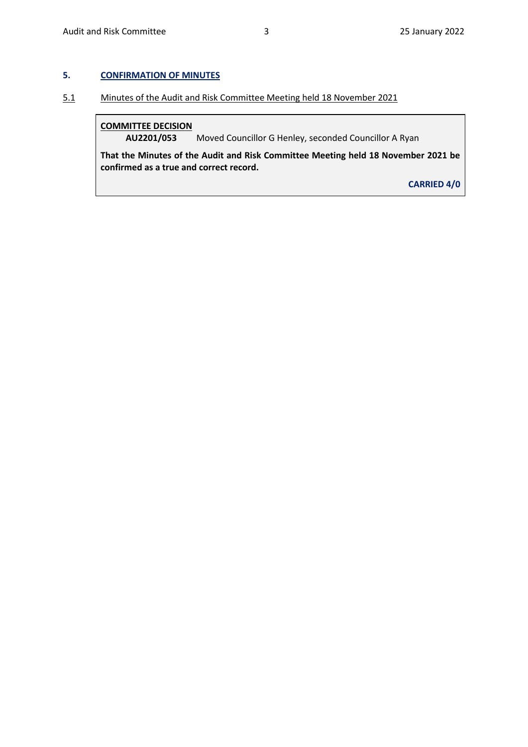### <span id="page-2-0"></span>**5. CONFIRMATION OF MINUTES**

<span id="page-2-1"></span>5.1 Minutes of the Audit and Risk Committee Meeting held 18 November 2021

### **COMMITTEE DECISION**

**AU2201/053** Moved Councillor G Henley, seconded Councillor A Ryan

**That the Minutes of the Audit and Risk Committee Meeting held 18 November 2021 be confirmed as a true and correct record.**

**CARRIED 4/0**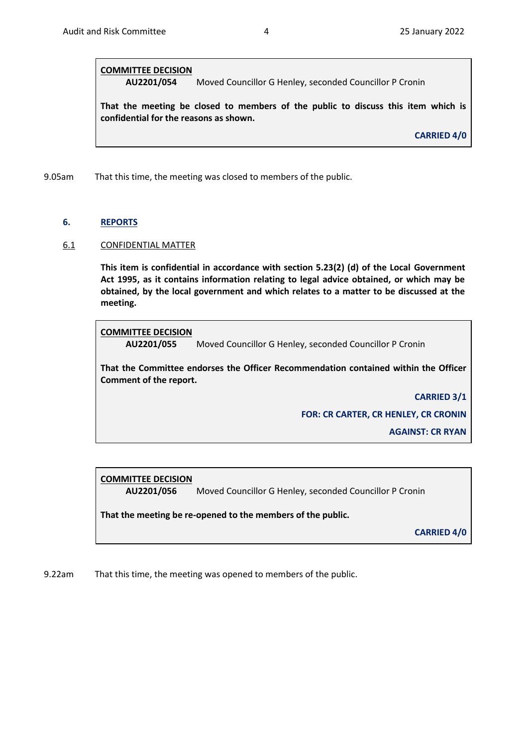### **COMMITTEE DECISION**

**AU2201/054** Moved Councillor G Henley, seconded Councillor P Cronin

**That the meeting be closed to members of the public to discuss this item which is confidential for the reasons as shown.** 

**CARRIED 4/0**

9.05am That this time, the meeting was closed to members of the public.

#### <span id="page-3-0"></span>**6. REPORTS**

#### <span id="page-3-1"></span>6.1 CONFIDENTIAL MATTER

**This item is confidential in accordance with section 5.23(2) (d) of the Local Government Act 1995, as it contains information relating to legal advice obtained, or which may be obtained, by the local government and which relates to a matter to be discussed at the meeting.**

### **COMMITTEE DECISION**

**AU2201/055** Moved Councillor G Henley, seconded Councillor P Cronin

**That the Committee endorses the Officer Recommendation contained within the Officer Comment of the report.**

> **CARRIED 3/1 FOR: CR CARTER, CR HENLEY, CR CRONIN**

> > **AGAINST: CR RYAN**

# **COMMITTEE DECISION**

**AU2201/056** Moved Councillor G Henley, seconded Councillor P Cronin

**That the meeting be re-opened to the members of the public.** 

**CARRIED 4/0**

9.22am That this time, the meeting was opened to members of the public.